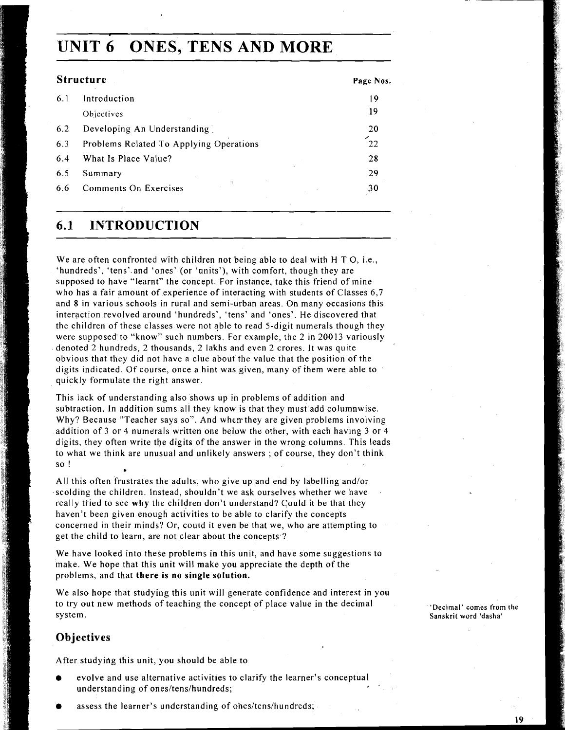# **UNIT 6 ONES, TENS AND MORE**

| <b>Structure</b>                        | Page Nos. |
|-----------------------------------------|-----------|
| Introduction                            | 19        |
| Objectives                              | 19        |
| Developing An Understanding             | 20        |
| Problems Related To Applying Operations | 22        |
| What Is Place Value?                    | 28        |
| Summary                                 | 29        |
| ٠Ņ<br>Comments On Exercises             | 30        |
|                                         |           |

## **6.1 INTRODUCTION**

We are often confronted with children not being able to deal with H T O, i.e., 'hundreds', 'tens' and 'ones' (or 'units'), with comfort, though they are supposed to have "learnt" the concept. For instance, take this friend of mine who has a fair amount of experience of interacting with students of Classes 6,7 and **8** in various schools in rural and semi-urban areas. On many occasions this interaction revolved around 'hundreds', 'tens' and 'ones'. He discovered that the children of these classes were not able to read 5-digit numerals though they were supposed'to "know" such numbers. For example, the 2 in 20013 variously denoted 2 hundreds, 2 thousands, 2 lakhs and even 2 crores. It was quite obvious that they did not have a clue about the value that the position of the digits indicated. Of course, once a hint was given, many of ihem were able to quickly formulate the right answer.

This lack of understanding also shows up in problems of addition and subtraction. In addition sums all they know is that they must add columnwise. Why? Because "Teacher says so". And when they are given problems involving addition of **3** or 4 numerals written one below the other, with each having **3** or 4 digits, they often write the digits of the answer in the wrong columns. This leads to what we think are unusual and unlikely answers ; of course, they don't think SO !

All this often frustrates the adults, who give up and end by labelling and/or scolding the children. Instead, shouldn't we ask ourselves whether we have really tried to see **why** the children don't understand? Could it be that they haven't been given enough activities to be able to clarify the concepts concerned in their minds? Or, could it even be that we, who are attempting to get the child to learn, are not clear about the concepts ?

We have looked into these problems in this unit, and have some suggestions to make. We hope that this unit will make you appreciate the depth of the problems, and that **there is no single solution.** 

We also hope that studying this unit will generate confidence and interest in you to try out new methods of teaching the concept of place value in the decimal **providents** 'Decimal' comes from the <br>
Sanskrit word 'dasha'

### **Objectives**

After studying this unit, you should be able to

- evolve and use alternative activities to clarify the learner's conceptual understanding of ones/tens/hundreds;
- assess the learner's understanding of ones/tens/hundreds;

Sanskrit word 'dasha'

**19**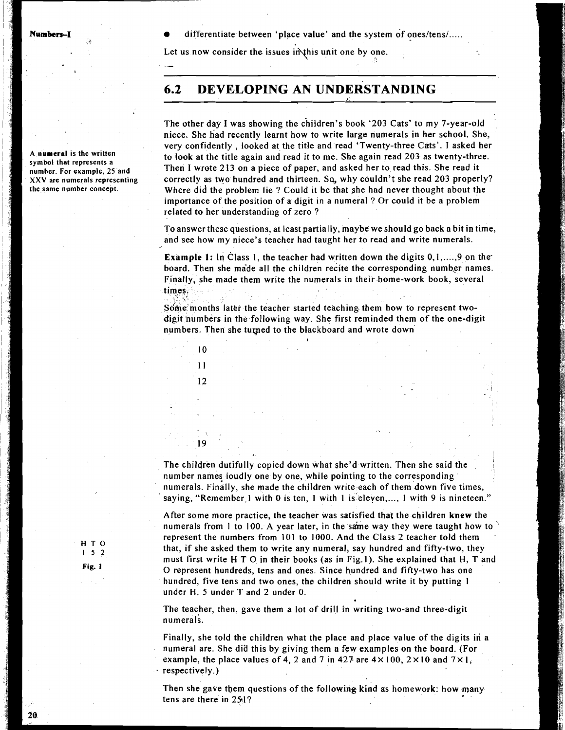**A numeral is the written symbol that represents a numher. For example, 25 and XXV are numerals representing the same number concept.** 

differentiate between 'place value' and the system of ones/tens/.....

Let us now consider the issues in this unit one by one.

## **6.2 DEVE.LOPING AN UNDERSTANDING**

The other day I was showing the children's book '203 Cats' to my 7-year-old niece. She had recently learnt how to write large numerals in her school. She, very confidently , looked at the title and read 'Twenty-three Cats'. I asked her to look at the title again and read it to me. She again read 203 as twenty-three. Then I wrote 2 13 on a piece of paper, and asked her to read this. She read it correctly as two hundred and thirteen. Sq, why couldn't she read 203 properly? Where did the problem lie ? Could it be that she had never thought about the importance of the position of a digit in a numeral ? Or could it be a problem related to her understanding of zero ?

To answer these questions, at least partially, maybe we should go back a bit in time, and see how my niece's teacher had taught her to read and write numerals.

**Example 1:** In Class 1, the teacher had written down the digits 0,1,...,9 on the board. Then she made all the children recite the corresponding number names. Finally, she made them write the numerals in theirhome-work book, several times.

Some months later the teacher started teaching them how to represent twodigit numbers in the following way. She first reminded them of the one-digit numbers. Then she turned to the blackboard and wrote down

I



 $\sqrt{2}$ **19** 

The children dutifully copied down what she'd written. Then she said the number names loudly one by one, while pointing to the corresponding numerals. Finally, she made the children write each of them down five times, saying, "Remember 1 with 0 is ten, 1 with 1 is eleven,..., 1 with 9 is nineteen."

After some more practice, the teacher was satisfied that the children **knew** the numerals from 1 to 100. A year later, in the same way they were taught how to represent the numbers from 101 to 1000. And the Class 2 teacher told them **152** that, if she asked them to write any numeral, say hundred and fifty-two, they must first write H T **0** in their books (as in Fig.1). She explained that H, T and **Fig. 1** 0 represent hundreds, tens and ones. Since hundred and fifty-two has one hundred, five tens and two ones, the children should write it by putting 1 under **H,** 5 under T and 2 under 0.

> The teacher, then, gave them a lot of drill in writing two-and three-digit numerals.

Finally, she told the children what the place and place value of the digits in a numeral are. She did this by giving them a few examples on the board. (For example, the place values of 4, 2 and 7 in 427 are  $4 \times 100$ ,  $2 \times 10$  and  $7 \times 1$ , respectively.)

Then she gave them questions of the following kind as homework: how many tens are there in 251?

**HTO**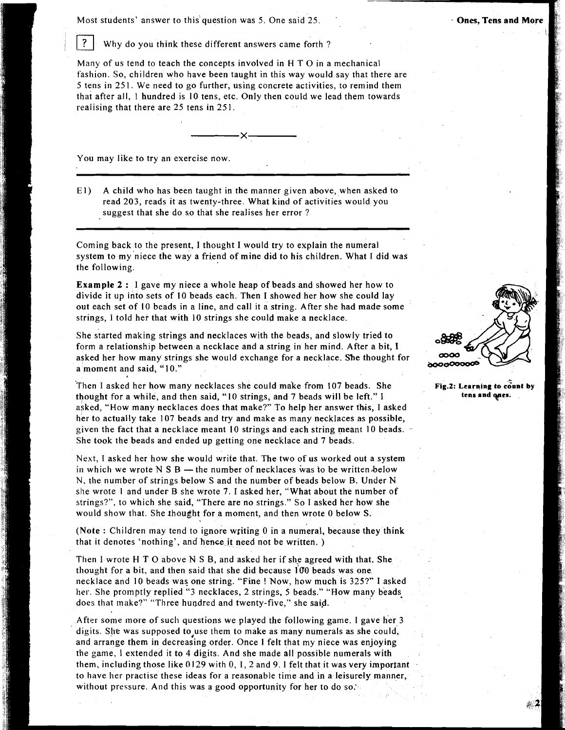#### Most students' answer to this question was 5. One said 25. . + Ones, Tens and **Mor**

 $\overline{?}$ Why do you think these different answers came forth ?

Many of us tend to teach the concepts involved in **<sup>H</sup>**T 0 in a mechanical fashion. So, children who have been taught in this way would say that there are 5 tens in 251. We need to go further, using concrete activities, to remind them that after all, 1 hundred is I0 tens, etc. Only then could we lead them towards realising that there are 25 tens in 251.

You may like to try an exercise now.

El) A child who has been taught in the manner given above, when asked to read 203, reads it as twenty-three. What kind of activities would you suggest that she do so that she realises her error ?

Coming back to the present, I thought I would try to explain the numeral system to my niece the way a friend of mine did to his children. What I did was the following.

Example 2 : I gave my niece a whole heap of beads and showed her how to divide it up into sets of 10 beads each. Then I showed her how she could lay out each set of I0 beads in a line, and call it a string. After she had made some strings, I told her that with 10 strings she could make a necklace.

She started making strings and necklaces with the beads, and slowly tried to form a relationship between a necklace and a string in her mind. After a bit, I asked her how many strings she would exchange for a necklace. She thought for a moment and said, "10."

Then I asked her how many necklaces she could make from 107 beads. She thought for a while, and then said, "10 strings, and 7 beads will be left." I **tens and** *ques***.** asked, "How many necklaces does that make?" To help her answer this, I asked her to actually take 107 beads and try and make as many necklaces as possible, given the fact that a necklace meant 10 strings and each string meant 10 beads. She took the beads and ended up getting one necklace and 7 beads.

Next, I asked her how she would write that. The two of us worked out a system in which we wrote  $N S B$  — the number of necklaces was to be written below N, the number of strings below S and the number of beads below B. Under N she wrote **1** and under B she wrote 7. I asked her, "What about the number of strings?", to which she said, "There are no strings." So I asked her how she would show that. She thought for a moment, and then wrote 0 below S.

(Note : Children may tend to ignore writing 0 in a numeral, because they think that it denotes 'nothing', and hence it need not be written. )

Then 1 wrote H T 0 above N S B, and asked her if she agreed with that. She thought for a bit, and then said that she did because  $100$  beads was one. necklace and 10 beads was one string. "Fine ! Now, how much is 325?" I asked her. She promptly replied "3 necklaces, 2 strings, 5 beads." "How many beads. does that make?" "Three hundred and twenty-five," she said.

After some more of such questions we played the following game. I gave her 3 digits. She was supposed to,use them to make as many numerals as she could, and arrange them in decreasing order. Once 1 felt that my niece was enjoying the game, I extended it to 4 digits. And she made all possible numerals with them, including those like **0129** with 0, 1,2 and 9. 1 felt that it was very important to have her practise these ideas for a reasonable time and in a leisurely manner, without pressure. And this was a good opportunity for her to do so.

**Fig.2: Learning to count by**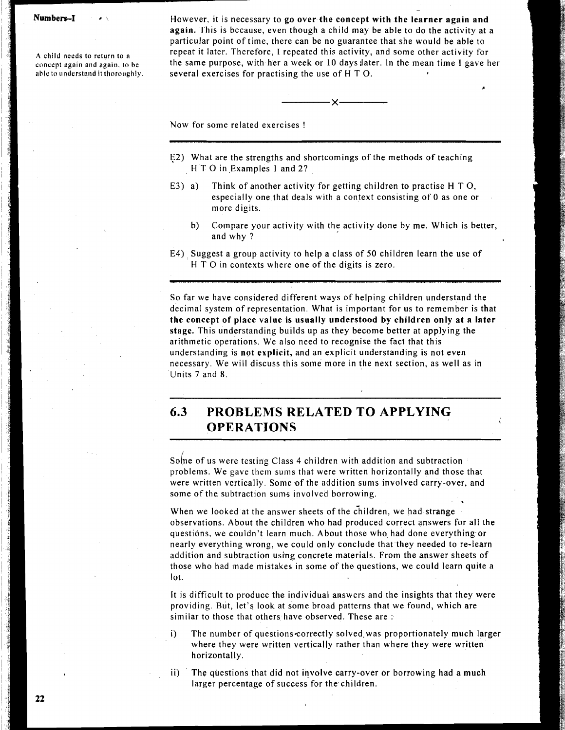$Numbers-I$ 

**A child needs to return to** a **concept again and again. to be**  able to understand it thoroughly. However, it is necessary to go over the concept with the learner again and again. This is because, even though a child may be able to do the activity at a particular point of time, there can be no guarantee that she would be able to repeat it later. Therefore, I repeated this activity, and some other activity for the same purpose, with her a week or 10 daysilater. In the mean time 1 gave her several exercises for practising the use of H T 0.

Now for some related exercises !

- E2) What are the strengths and shortcomings of the methods of teaching H T 0 in Examples 1 and 2?
- **E3)** a) Think of another activity for getting children to practise H T 0, especially one that deals with a context consisting of 0 as one or more digits.
	- b) Compare your activity with the activity done by me. Which is better, and why ?
- E4) Suggest a group activity to help a class of 50 children learn the use of H T 0 in contexts where one of the digits is zero.

So far we have considered different ways of helping children understand the decimal system of representation. What is important for us to remember is that the concept of place value is usually understood **by** children only at a later stage. This understanding builds up as they become better at applying the arithmetic operations. We also need to recognise the fact that this understanding is not explicit, and an explicit understanding is not even necessary. We will discuss this some more in the next section, as well as in Units 7 and 8.

## **6.3 PROBLEMS RELATED TO APPLYING OPERATIONS**

sohe of us were testing Class 4 children with addition and subtraction problems. We gave them sums that were written horizontally and those that were written vertically. Some of the addition sums involved carry-over, and some of the subtraction sums involved borrowing.

When we looked at the answer sheets of the children, we had strange observations. About the children who had produced correct answers for all the questions, we couldn't learn much. About those who, had done everything or nearly everything wrong, we could only conclude that they needed to re-learn addition and subtraction using concrete materials. From the answer sheets of those who had made mistakes in some of the questions, we could learn quite a lot.

\*

It is difficult to produce the individual answers and the insights that they were providing. But, let's look at some broad patterns that we found, which are similar to those that others have observed. These are :

- i) The number of questions correctly solved was proportionately much larger where they were written vertically rather than where they were written horizontally.
- ii) The questions that did not involve carry-over or borrowing had a much larger percentage of success for the children.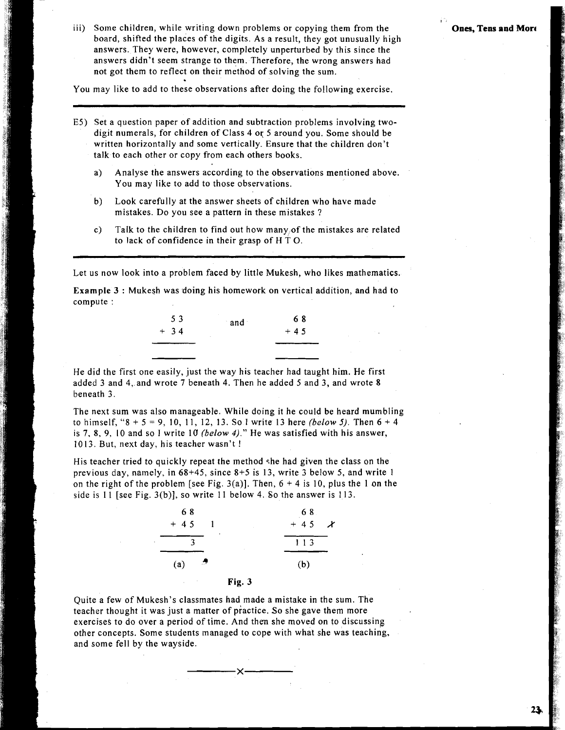**I** 

iii) Some children, while writing down problems or copying them from the **Ones, Tens and More** board, shifted the places of the digits. As a result, they got unusually high answers. They were, however, completely unperturbed by this since the answers didn't seem strange to them. Therefore, the wrong answers had not got them to reflect on their method of solving the sum.

You may like to add to these observations after doing the following exercise.

- E5) Set a question paper of addition and subtraction problems involving twodigit numerals, for children of Class 4 or 5 around you. Some should be written horizontally and some vertically. Ensure that the children don't talk to each other or copy from each others books.
	- a) Analyse the answers according to the observations mentioned above. You may like to add to those observations.
	- b) Look carefully at the answer sheets of children who have made mistakes. Do you see a pattern in these mistakes ?
	- c) Talk to the children to find out how many,of the mistakes are related to lack of confidence in their grasp of H T 0.

Let us now look into a problem faced by little Mukesh, who likes mathematics.

Example 3 : Mukesh was doing his homework on vertical addition, and had to compute :

| 53    | and | 68    |
|-------|-----|-------|
| $+34$ |     | $+45$ |
|       |     |       |

He did the first one easily, just the way his teacher had taught him. He first added 3 and 4,.and wrote 7 beneath 4. Then he added 5 and 3, and wrote 8 beneath 3.

The next sum was also manageable. While doing it he could be heard mumbling to himself, "8 + 5 = 9, 10, 11, 12, 13. So I write 13 here **(below** 5). Then **6** + 4 is 7, 8, 9, I0 and so 1 write 10 **(below** 4)." He was satisfied with his answer, 1013. But, next day, his teacher wasn't !

His teacher tried to quickly repeat the method she had given the class on the previous day, namely, in 68+45, since 8+5 is 13, write 3 below 5, and write 1 on the right of the problem [see Fig. 3(a)]. Then,  $6 + 4$  is 10, plus the 1 on the side is 11 [see Fig. 3(b)], so write 11 below 4. So the answer is 113.



Quite a few of Mukesh's classmates had made a mistake in the sum. The teacher thought it was just a matter of piactice. So she gave them more exercises to do over a period of time. And then she moved on to discussing other concepts. Some students managed to cope with what she was teaching, and some fell by the wayside.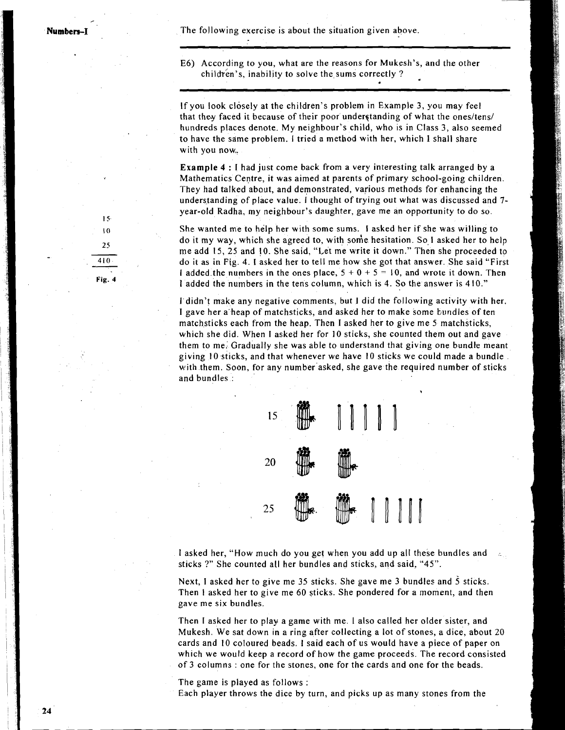The following exercise is about the situation given above.

E6) According to you, what are the reasons for Mukesh's, and the other children's, inability to solve the sums correctly?

If you look closely at the children's problem in Example 3, you may feel that they faced it because of their poor understanding of what the ones/tens/ hundreds places denote. My neighbour's child, who is in Class 3, also seemed to have the same problem. I tried a method with her, which **1** shall share with you now..

**Example** <sup>4</sup>: I had just come back from a very interesting talk arranged by a Mathematics Centre, it was aimed at parents of primary school-going children. They had talked about, and demonstrated, various methods for enhancing the understanding of place value. I thought of trying out what was discussed and 7 year-old Radha, my neighbour's daughter, gave me an opportunity to do so.

She wanted me to help her with some sums. I asked her if she was willing to do it my way, which she agreed to, with some hesitation. So I asked her to help me add 15, *25* and 10. She said, "Let me write it down." Then she proceeded to do it as in Fig. 4. 1 asked her to tell me how she got that answer. She said "First I added the numbers in the ones place,  $5 + 0 + 5 = 10$ , and wrote it down. Then 1 added the numbers in the tens column, which is 4. So the answer is 410."

I didn't make any negative comments, but **1** did the following activity with her. I gave her a heap of matchsticks, and asked her to make some bundles of ten matchsticks each from the heap. Then I asked her to give me 5 matchsticks, which she did. When I asked her for 10 sticks, she counted them out and gave them to me. Gradually she was able to understand that giving one bundle meant giving 10 sticks, and that whenever we have 10 sticks we could made a bundle with them. Soon, for any number asked, she gave the required number of sticks and bundles :



I asked her, "How much do you get when you add up all these bundles and sticks ?" She counted all her bundles and sticks, and said, "45".

Next, I asked her to give me 35 sticks. She gave me 3 bundles and 5 sticks. Then I asked her to give me 60 sticks. She pondered for a moment, and then gave me six bundles.

Then I asked her to play a game with me. I also called her older sister, and Mukesh. We sat down in a ring after collecting a lot of stones, a dice, about 20 cards and 10 coloured beads. **I** said each of us would have a piece of paper on which we would keep a record of how the game proceeds. The record consisted of 3 columns : one for the stones, one for the cards and one for the beads.

The game is played as follows :

Each player throws the dice **by** turn, and picks up as many stones from the

 $15<sub>1</sub>$  $\overline{0}$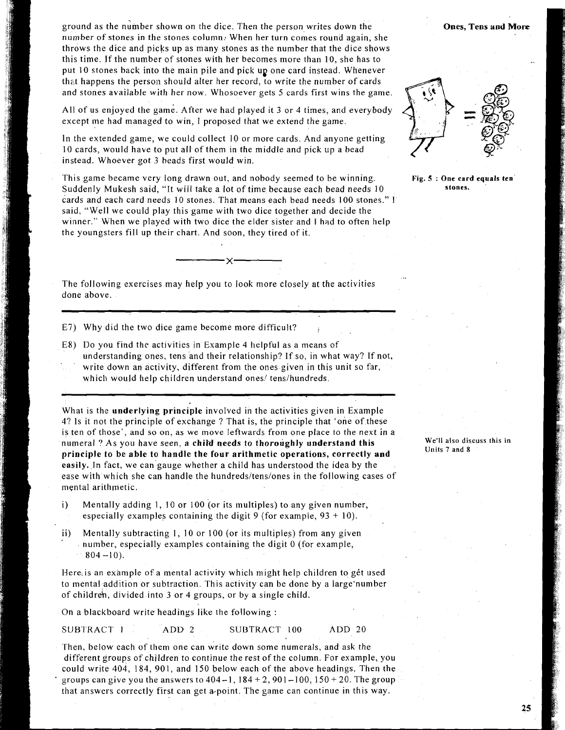ground as the number shown on the dice. Then the person writes down the number of stones in the stones column: When her turn comes round again, she throws the dice and picks up as many stones as the number that the dice shows this time. Jf the number of stones with her becomes more than 10, she has to put 10 stones back into the main pile and pick up one card instead. Whenever that happens the person should alter her record, to write the number of cards and stones available with her now. Whosoever gets 5 cards first wins the game.

All of us enjoyed the game. After we had played it 3 or 4 times, and everybody except me had managed to win, I proposed that we extend the game.

In the extended game, we could collect 10 or more cards. And anyone getting 10 cards, would have to put all of them in the middle and pick up a bead instead. Whoever got 3 beads first would win.

This game became very long drawn out, and nobody seemed to be winning. Suddenly Mukesh said, "It will take a lot of time because each bead needs 10 cards and each card needs 10 stones. That means each bead needs 100 stones." **I**  said, "Well we could play this game with two dice together and decide the winner." When we played with two dice the elder sister and I had to often help the youngsters fill up their chart. And soon, they tired of it.

The following exercises may help you to look more closely at the activities done above.

- E7) Why did the two dice game become more difficult?
- E8) Do you find the activities in Example 4 helpful as a means of understanding ones, tens and their relationship? If so, in what way? If not, write down an activity, different from the ones given in this unit so far, which would help children understand ones/ tens/hundreds.

What is the **underlying principle** involved in the activities given in Example 4? Is it not the principle of exchange ? That is, the principle that 'one of these is ten of those', and so on, as we move leftwards from one place to the next in a numeral ? As you have seen, a **child needs to thoroughly understand this principle to be able to handle the four arithmetic operations, correctly and easily.** In fact, we can gauge whether a child has understood the idea by the ease with which she can handle the hundreds/tens/ones in the following cases of mental arithmetic.

- i) Mentally adding 1, 10 or I00 (or its multiples) to any given number, especially examples containing the digit 9 (for example,  $93 + 10$ ).
- ii) Mentally subtracting 1, 10 or 100 (or its multiples) from any given number, especially examples containing the digit  $0$  (for example,  $804 - 10$ ).

Here, is an example of a mental activity which might help children to get used to mental addition or subtraction. This activity can be done by a large'number of children, divided into 3 or 4 groups, or by a single child.

On a blackboard write headings like the following :

SUBTRACT 1 ADD 2 SUBTRACT 100 ADD 20

Then, below each of them one can write down some numerals, and ask the different groups of children to continue the rest of the column. For example, you could write 404, 184, 901, and 150 below each of the above headings. Then the groups can give you the answers to  $404 - 1$ ,  $184 + 2$ ,  $901 - 100$ ,  $150 + 20$ . The group that answers correctly first can get a-point. The game can continue in this way.

**Fig. 5** : **One card equals ten stones.** 

**We'll also discuss this in Units 7 and 8** 

**Ones, Tens and More** 

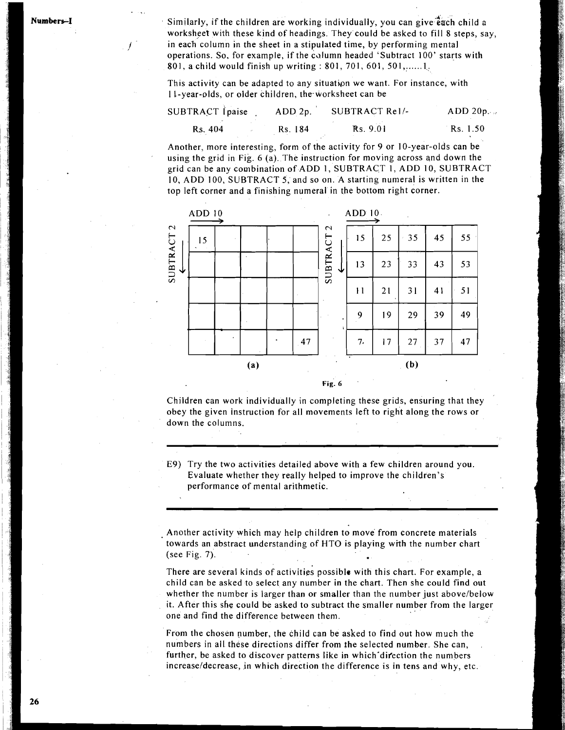**mbers** 

..

Similarly, if the children are working individually, you can give  $\mathbf{\hat{e}}$  ach child a worksheet with these kind of headings. They could be asked to fill 8 steps, say, in each column in the sheet in a stipulated time, by performing mental operations. So, for example, if the calumn headed 'Subtract 100' starts with 801, a child would finish up writing : 801, 701, 601, 501,......1.

This activity can be adapted to any situation we want. For instance, with I 1-year-olds, or older children, the.worksheet can be

| <b>SUBTRACT</b> Ipaise | ADD 2p. | SUBTRACT Rell- | ADD 20p. |  |
|------------------------|---------|----------------|----------|--|
| Rs. 404                | Rs. 184 | Rs. 9.01       | Rs. 1.50 |  |

Another, more interesting, form of the activity for 9 or 10-year-olds can be using the grid in Fig. 6 (a). The instruction for moving across and down the grid can be any combination of ADD 1, SUBTRACT 1, ADD 10, SUBTRACT 10, ADD 100, SUBTRACT 5, and so on. A starting numeral is written in the



Children can work individually in completing these grids, ensuring that they obey the given instruction for all movements left to right along the rows or down the columns.

E9) Try the two activities detailed above with a few children around you Evaluate whether they really helped to improve the children's performance of mental arithmetic.

Another activity which may help children to move from concrete materials towards an abstract understanding of HTO is playing with the number chart (see Fig. 7).

There are several kinds of activities possible with this chart. For example, a child can be asked to select any number in the chart. Then she could find out whether the number is larger than or smaller than the number just above/below it. After this she could be asked to subtract the smaller number from the larger one and find the difference between them.

From the chosen number, the child can be asked to find out how much the numbers in all these directions differ from the selected number. She can, further, be asked to discover patterns like in which direction the numbers increase/decrease, in which direction the difference is in tens and why, etc.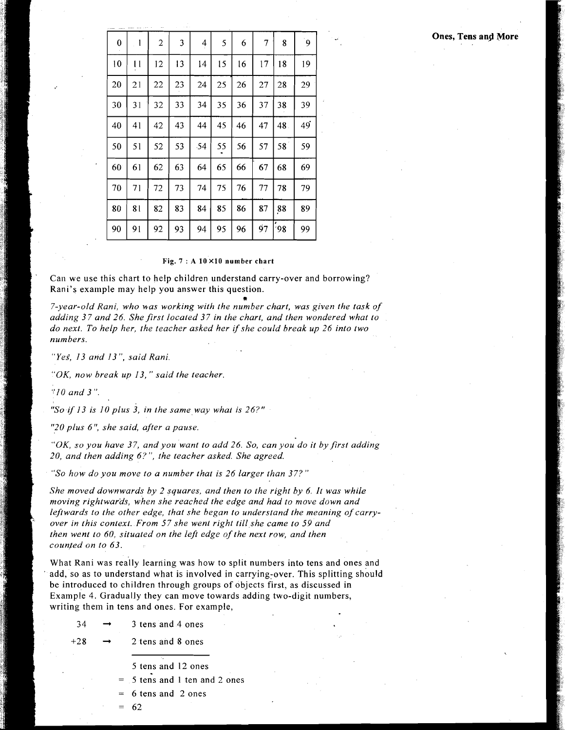| 0  | 1  | $\mathbf{2}$ | 3  | 4   | 5  | 6  | 7  | 8   | $\mathbf{9}$ |
|----|----|--------------|----|-----|----|----|----|-----|--------------|
| 10 | 11 | 12           | 13 | 14  | 15 | 16 | 17 | 18  | 19           |
| 20 | 21 | 22           | 23 | 24  | 25 | 26 | 27 | 28  | 29           |
| 30 | 31 | 32           | 33 | 34  | 35 | 36 | 37 | 38  | 39           |
| 40 | 41 | 42           | 43 | 44  | 45 | 46 | 47 | 48. | 49           |
| 50 | 51 | 52           | 53 | -54 | 55 | 56 | 57 | 58  | 59           |
| 60 | 61 | 62           | 63 | 64  | 65 | 66 | 67 | 68  | 69           |
| 70 | 71 | 72           | 73 | 74  | 75 | 76 | 77 | 78  | 79           |
| 80 | 81 | 82           | 83 | 84  | 85 | 86 | 87 | 88  | 89           |
| 90 | 91 | 92           | 93 | 94  | 95 | 96 | 97 | 98  | 99           |

#### **Fig. 7** : **A 10 X10 number chart**

Can we use this chart to help children understand carry-over and borrowing? Rani's example may help you answer this question.

**9**  *7-year-old Rani, who was working with the number chart, was given the task of*  adding 37 and 26. She first located 37 in the chart, and then wondered what to *do next. To help her, the teacher asked her ifshe could break up 26 into two numbers.* 

" *Yes', 13 and 13* ", *said Rani.* 

*"OK, now break up 13,* " *said the teacher.* 

I *'flOand3".* 

1

k.

*"So* if *13 is I0 plus 3, in the same way what is 26?"* 

*"20 plus 6': she said, after a pause.* 

*"OK, so you have 37, and you want to add 26. So, can you do it by first adding 20, and then adding 6.7", the teacher asked. She agreed.* 

*"So how do you move to a number that is 26 larger than 37?"* 

*She moved downwards by 2 squares, and then to the right by 6. It was while moving rightwards, when she reached the edge and had to move down and*  leftwards to the other edge, that she began to understand the meaning of carry*over In this context. From 57 she went right till she came to 59 and*  then went to 60, situated on the left edge of the next row, and then counted on to 63.

What Rani was really learning was how to split numbers into tens and ones and i add, so as to understand what is involved in carrying-over. This splitting should<br>be introduced to children through groups of objects first, as discussed in<br>Example 4. Gradually they can move towards adding two-digit num be introduced to children through groups of objects first, as discussed in Example 4. Gradually they can move towards adding two-digit numbers,<br>writing them in tens and ones. For example,<br> $34 \rightarrow 3$  tens and 4 ones

3 tens and 4 ones

 $+28$   $\rightarrow$  2 tens and 8 ones

 $=$  5 tens and 12 ones<br> $=$  5 tens and 1 ten and<br> $=$  6 tens and 2 ones = 5 tens and 1 ten and 2 ones

6 tens and 2 ones

= 62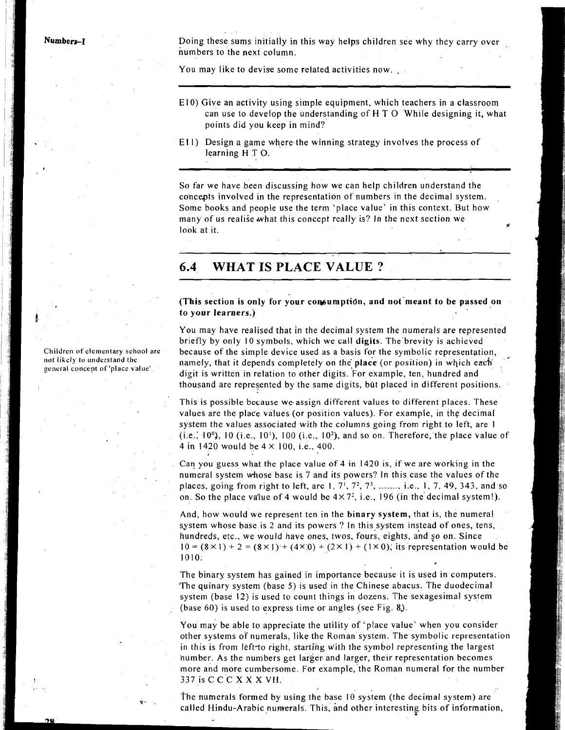**Numbers-1 bum Doing these sums initially in this way helps children see why they carry over** numbers to the next column.

You may like to devise some related activities now.

- EIO) Give an activity using simple equipment, which teachers in a classroom can use to develop the understanding of  $H T O$  While designing it, what points did you keep in mind?
- Ell) Design a game where the winning strategy involves the process of learning H T O.

So far we have been discussing how we can help children understand the concepts involved in the representation of numbers in the decimal system. Some books and people use the term 'place value' in this context. But how many of us realise what this concept really is? In the next section we look at it. **state of the state of the state of the state of the state of the state of the state of the state of the state of the state of the state of the state of the state of the state of the state of the state of the s** 

### **6.4 WHAT IS PLACE VALUE** ?

(This section is only for your consumption, and not meant to be passed on to your learners.)

You may have realised that in the decimal system the numerals are represented briefly by only 10 symbols, which we call digits. The brevity is achieved because of the simple device used as a basis for the symbolic representation, namely, that it depends completely on the place (or position) in which each digit is written in relation to other digits. For example, ten, hundred and thousand are represented by the same digits, but placed in different positions.

This is possible because we assign different values to different places. These values are the place values (or position values). For example, in the decimal system the values associated with the columns going from right to left, are 1 (i.e.; 10 $\degree$ ), 10 (i.e., 10 $\degree$ ), 100 (i.e., 10 $\degree$ ), and so on. Therefore, the place value of 4 in 1420 would be  $4 \times 100$ , i.e., 400.

Can you guess what the place value of 4 in 1420 is, if we are working in the numeral system whose base is 7 and its powers? In this case the values of the places, going from right to left, are 1,  $7^1$ ,  $7^2$ ,  $7^3$ , ......, i.e., 1, 7, 49, 343, and so on. So the place value of 4 would be  $4 \times 7^2$ , i.e., 196 (in the decimal system!).

And, how would we represent ten in the binary system, that is, the numeral system whose base is 2 and its powers ? In this system instead of ones, tens, hundreds, etc., we would have ones, twos, fours, eights, and so on. Since  $10 = (8 \times 1) + 2 = (8 \times 1) + (4 \times 0) + (2 \times 1) + (1 \times 0)$ , its representation would be 1010.

The binary system has gained in importance because it is used in computers. The quinary system (base 5) is used in the Chinese abacus. The duodecimal system (base 12) is used to count things in dozens. The sexagesimal system (base 60) is used to express time or angles (see Fig. 8.).

You may be able to appreciate the utility of 'place value' when you consider other systems of numerals, like the Roman system. The symbolic representation in this is from left-to right, starting with the symbol representing the largest number. As the numbers get larger and larger, their representation becomes more and more cumbersome. For example, the Roman numeral for the number 337 is C C C X X X **VII.** 

 he numerals formed by using the base 10 system (the decimal system) are called Hindu-Arabic numerals. This, and other interesting bits of information,

**Children of elementary school are not likely lo understand** *the*  **gcneral concept of 'place value'**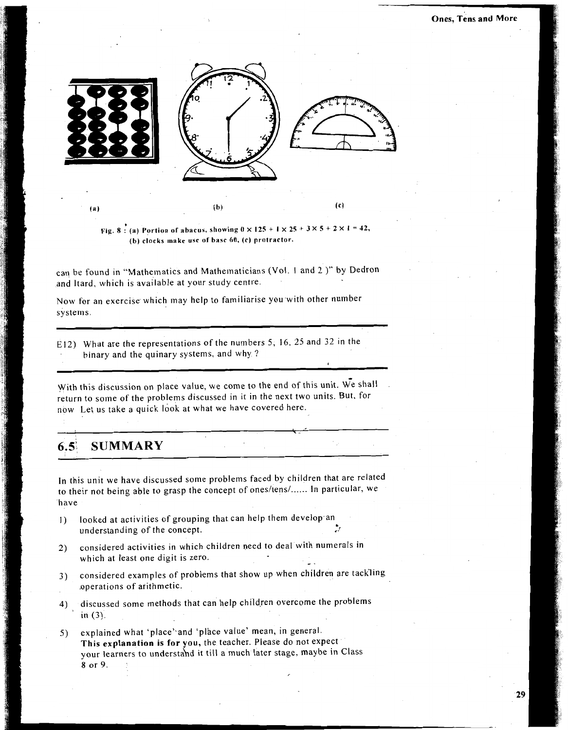

Fig. 8: (a) Portion of abacus, showing  $0 \times 125 + 1 \times 25 + 3 \times 5 + 2 \times 1 = 42$ , (b) clocks make use of base 60, (c) protractor.

can be found in "Mathematics and Mathematicians (Vol. 1 and 2 )" by Dedron and Itard, which is available at your study centre.

Now for an exercise which may help to familiarise you with other number systems.

E12) What are the representations of the numbers 5, 16, 25 and 32 in the binary and the quinary systems, and why.?

With this discussion on place value, we come to the end of this unit. We shall return to some of the problems discussed in it in the next two units. But, for now Let us take a quick look at what we have covered here.

#### **SUMMARY**  $6.5<sup>1</sup>$

In this unit we have discussed some problems faced by children that are related to their not being able to grasp the concept of ones/tens/...... In particular, we have

- looked at activities of grouping that can help them develop an  $1)$ understanding of the concept.
- considered activities in which children need to deal with numerals in  $2)$ which at least one digit is zero.
- considered examples of problems that show up when children are tackling  $3)$ operations of arithmetic.
- 4) discussed some methods that can help children overcome the problems in  $(3)$ .
- explained what 'place' and 'place value' mean, in general. 5) This explanation is for you, the teacher. Please do not expect your learners to understand it till a much later stage, maybe in Class 8 or 9.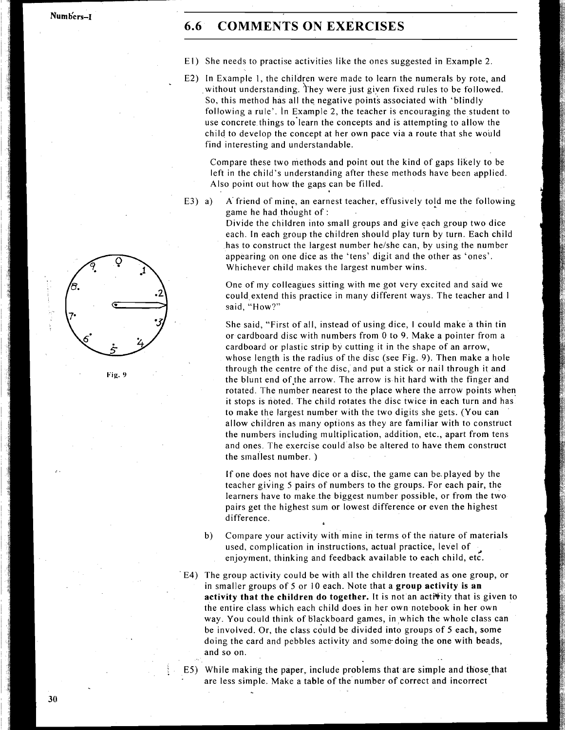**Num b'e rs-1** 

### **6.6 COMMENTS ON EXERCISES**

- El) She needs to practise activities like the ones suggested in Example 2.
- E2) In Example 1, the children were made to learn the numerals by rote, and without understanding. They were just given fixed rules to be followed. So, this method has all the negative points associated with 'blindly following a rule'. In Example 2, the teacher is encouraging the student to use concrete things to'learn the concepts and is attempting to allow the child to develop the concept at her own pace via a route that she would find interesting and understandable.

Compare these two methods and point out the kind of gaps likely to be left in the child's understanding after these methods have been applied. Also point out how the gaps can be filled.

E3) a) A friend of mine, an earnest teacher, effusively told me the following game he had thought of :

> Divide the children into small groups and give each group two dice each. In each group the children should play turn by turn. Each child has to construct the largest number he/she can, by using the number appearing on one dice as the 'tens' digit and the other as 'ones'. Whichever child makes the largest number wins.

> One of my colleagues sitting with me got very excited and said we could extend this practice in many different ways. The teacher and I said, "How?"

She said, "First of all, instead of using dice, I could make a thin tin or cardboard disc with numbers from 0 to 9. Make a pointer from a cardboard or plastic strip by cutting it in the shape of an arrow, whose length is the radius of the disc (see Fig. 9). Then make a hole through the centre of the disc, and put a stick or nail through it and Fig. 9 **the blunt end of the arrow.** The arrow is hit hard with the finger and rotated. The number nearest to the place where the arrow points when it stops is noted. The child rotates the disc twice in each turn and has to make the largest number with the two digits she gets. (You can allow children as many options as they are familiar with to construct the numbers including multiplication, addition, etc., apart from tens and ones. The exercise could also be altered to have them construct the smallest number.  $)$ 

> If one does not have dice or a disc, the game can be.played by the teacher giving 5 pairs of numbers to the groups. For each pair, the learners have to make the biggest number possible, or from the two pairs get the highest sum or lowest difference or even the highest difference.

- b) Compare your activity with mine in terms of the nature of materials used, complication in instructions, actual practice, level of enjoyment, thinking and feedback available to each child, etc.
- E4) The group activity could be with all the children treated as one group, or in smaller groups of 5 or 10 each. Note that a **group activity is an activity that the children do together.** It is not an acti%ity that is given to the entire class which each child does in her own notebook in her own way. You could think of blackboard games, in which the whole class can be involved. Or, the class could be divided into groups of 5 each, some doing the card and pebbles activity and some doing the one with beads, and so on.

**E5)** While making the paper, include problems that are simple and those that are less simple. Make a table of the number of correct and incorrect



30